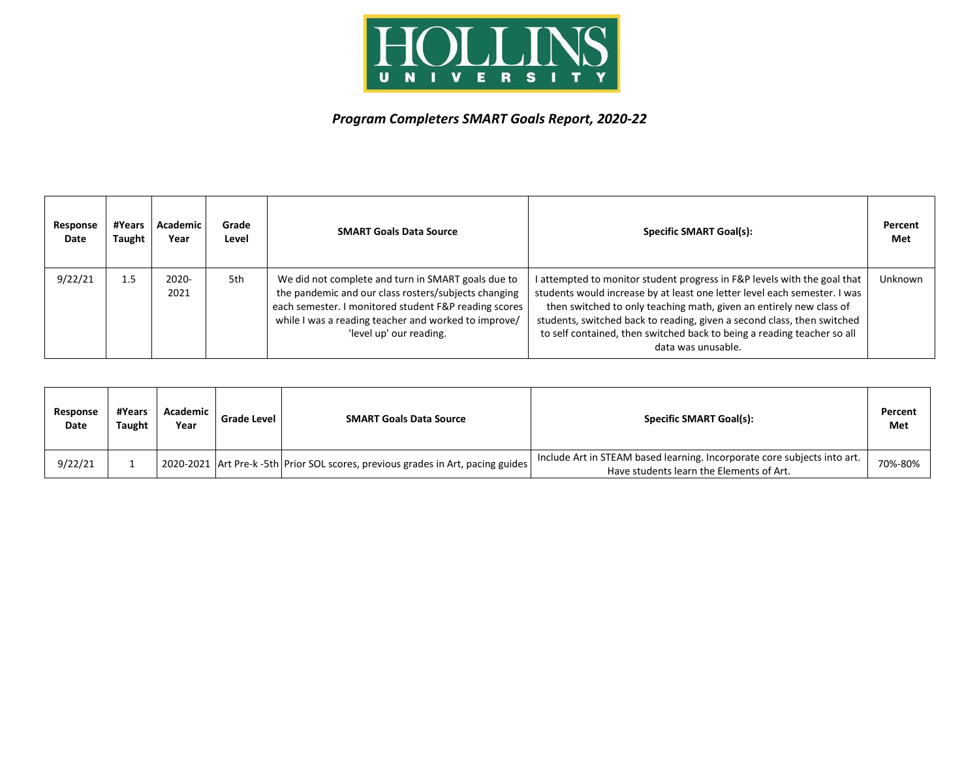

## *Program Completers SMART Goals Report, 2020-22*

| Response<br>Date | #Years<br>Taught | Academic<br>Year | Grade<br>Level | <b>SMART Goals Data Source</b>                                                                                                                                                                                                                         | <b>Specific SMART Goal(s):</b>                                                                                                                                                                                                                                                                                                                                                                           | Percent<br>Met |
|------------------|------------------|------------------|----------------|--------------------------------------------------------------------------------------------------------------------------------------------------------------------------------------------------------------------------------------------------------|----------------------------------------------------------------------------------------------------------------------------------------------------------------------------------------------------------------------------------------------------------------------------------------------------------------------------------------------------------------------------------------------------------|----------------|
| 9/22/21          | 1.5              | 2020-<br>2021    | 5th            | We did not complete and turn in SMART goals due to<br>the pandemic and our class rosters/subjects changing<br>each semester. I monitored student F&P reading scores<br>while I was a reading teacher and worked to improve/<br>'level up' our reading. | I attempted to monitor student progress in F&P levels with the goal that<br>students would increase by at least one letter level each semester. I was<br>then switched to only teaching math, given an entirely new class of<br>students, switched back to reading, given a second class, then switched<br>to self contained, then switched back to being a reading teacher so all<br>data was unusable. | Unknown        |

| Response<br>Date | #Years<br>Taught | <b>Academic</b><br>Year | Grade Level | <b>SMART Goals Data Source</b>                                                   | <b>Specific SMART Goal(s):</b>                                                                                       | Percent<br>Met |
|------------------|------------------|-------------------------|-------------|----------------------------------------------------------------------------------|----------------------------------------------------------------------------------------------------------------------|----------------|
| 9/22/21          |                  |                         |             | 2020-2021 Art Pre-k -5th Prior SOL scores, previous grades in Art, pacing guides | Include Art in STEAM based learning. Incorporate core subjects into art.<br>Have students learn the Elements of Art. | 70%-80%        |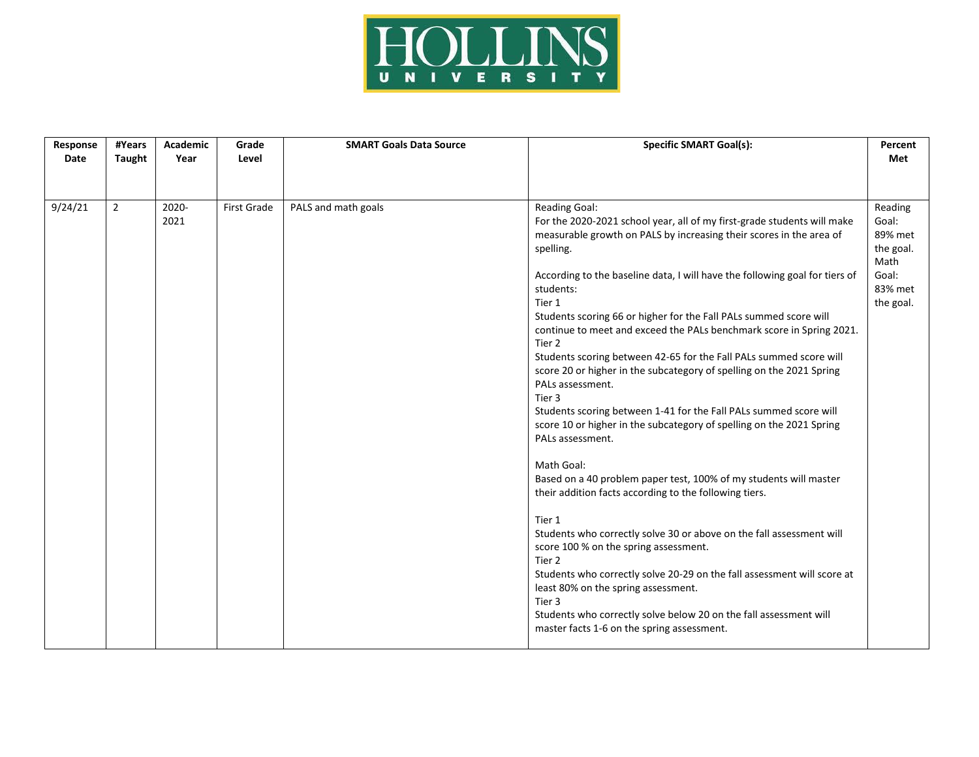

| Response<br>Date | #Years<br>Taught | Academic<br>Year | Grade<br>Level | <b>SMART Goals Data Source</b> | <b>Specific SMART Goal(s):</b>                                                                                                                                                                                                                                                                                                                                                                                                                                                                                                                                                                                                                                                                                                                                                                                                                                                                                                                                                                                                                                                                                                                                                                                                                                                                                                                           | Percent<br>Met                                                                    |
|------------------|------------------|------------------|----------------|--------------------------------|----------------------------------------------------------------------------------------------------------------------------------------------------------------------------------------------------------------------------------------------------------------------------------------------------------------------------------------------------------------------------------------------------------------------------------------------------------------------------------------------------------------------------------------------------------------------------------------------------------------------------------------------------------------------------------------------------------------------------------------------------------------------------------------------------------------------------------------------------------------------------------------------------------------------------------------------------------------------------------------------------------------------------------------------------------------------------------------------------------------------------------------------------------------------------------------------------------------------------------------------------------------------------------------------------------------------------------------------------------|-----------------------------------------------------------------------------------|
| 9/24/21          | $\overline{2}$   | 2020-<br>2021    | First Grade    | PALS and math goals            | Reading Goal:<br>For the 2020-2021 school year, all of my first-grade students will make<br>measurable growth on PALS by increasing their scores in the area of<br>spelling.<br>According to the baseline data, I will have the following goal for tiers of<br>students:<br>Tier 1<br>Students scoring 66 or higher for the Fall PALs summed score will<br>continue to meet and exceed the PALs benchmark score in Spring 2021.<br>Tier <sub>2</sub><br>Students scoring between 42-65 for the Fall PALs summed score will<br>score 20 or higher in the subcategory of spelling on the 2021 Spring<br>PALs assessment.<br>Tier 3<br>Students scoring between 1-41 for the Fall PALs summed score will<br>score 10 or higher in the subcategory of spelling on the 2021 Spring<br>PALs assessment.<br>Math Goal:<br>Based on a 40 problem paper test, 100% of my students will master<br>their addition facts according to the following tiers.<br>Tier 1<br>Students who correctly solve 30 or above on the fall assessment will<br>score 100 % on the spring assessment.<br>Tier <sub>2</sub><br>Students who correctly solve 20-29 on the fall assessment will score at<br>least 80% on the spring assessment.<br>Tier <sub>3</sub><br>Students who correctly solve below 20 on the fall assessment will<br>master facts 1-6 on the spring assessment. | Reading<br>Goal:<br>89% met<br>the goal.<br>Math<br>Goal:<br>83% met<br>the goal. |